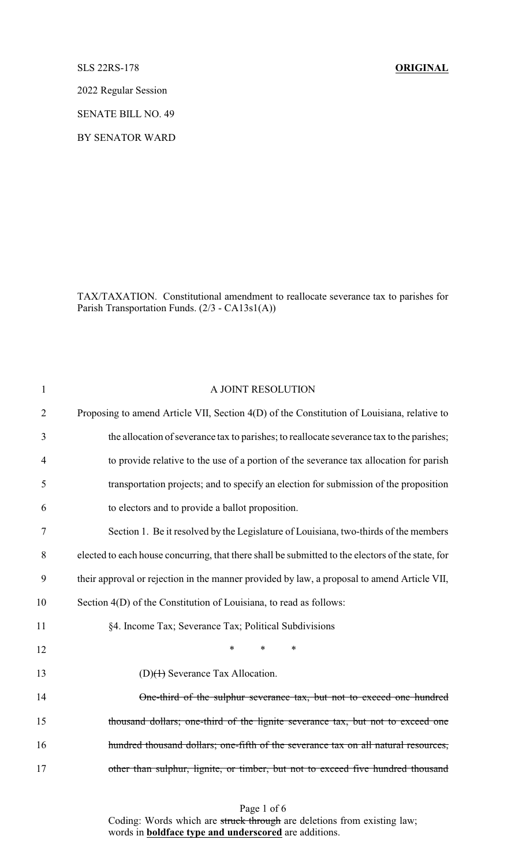SLS 22RS-178 **ORIGINAL**

2022 Regular Session

SENATE BILL NO. 49

BY SENATOR WARD

TAX/TAXATION. Constitutional amendment to reallocate severance tax to parishes for Parish Transportation Funds. (2/3 - CA13s1(A))

| A JOINT RESOLUTION                                                                                |
|---------------------------------------------------------------------------------------------------|
| Proposing to amend Article VII, Section 4(D) of the Constitution of Louisiana, relative to        |
| the allocation of severance tax to parishes; to reallocate severance tax to the parishes;         |
| to provide relative to the use of a portion of the severance tax allocation for parish            |
| transportation projects; and to specify an election for submission of the proposition             |
| to electors and to provide a ballot proposition.                                                  |
| Section 1. Be it resolved by the Legislature of Louisiana, two-thirds of the members              |
| elected to each house concurring, that there shall be submitted to the electors of the state, for |
| their approval or rejection in the manner provided by law, a proposal to amend Article VII,       |
| Section 4(D) of the Constitution of Louisiana, to read as follows:                                |
| §4. Income Tax; Severance Tax; Political Subdivisions                                             |
| *<br>*<br>$\ast$                                                                                  |
| $(D)(1)$ Severance Tax Allocation.                                                                |
| One-third of the sulphur severance tax, but not to exceed one hundred                             |
| thousand dollars; one-third of the lignite severance tax, but not to exceed one                   |
| hundred thousand dollars; one-fifth of the severance tax on all natural resources,                |
| other than sulphur, lignite, or timber, but not to exceed five hundred thousand                   |
|                                                                                                   |

Page 1 of 6 Coding: Words which are struck through are deletions from existing law; words in **boldface type and underscored** are additions.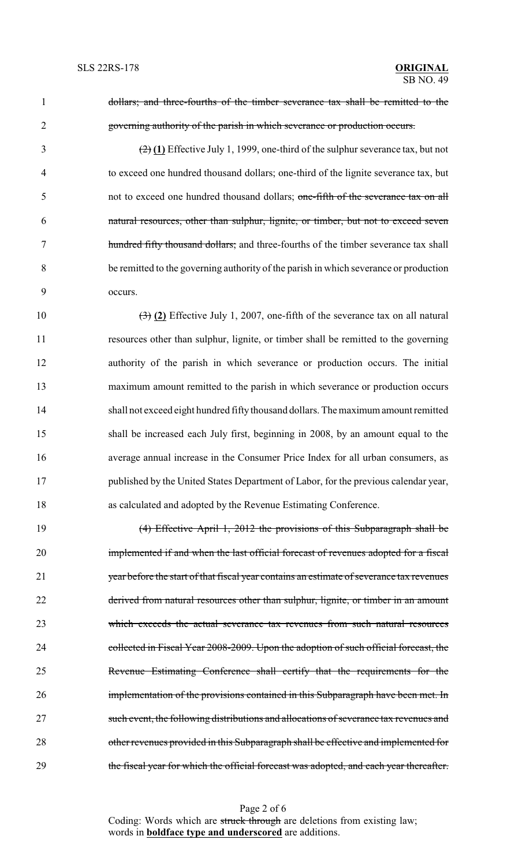dollars; and three-fourths of the timber severance tax shall be remitted to the governing authority of the parish in which severance or production occurs.

 (2) **(1)** Effective July 1, 1999, one-third of the sulphur severance tax, but not to exceed one hundred thousand dollars; one-third of the lignite severance tax, but not to exceed one hundred thousand dollars; one-fifth of the severance tax on all natural resources, other than sulphur, lignite, or timber, but not to exceed seven hundred fifty thousand dollars; and three-fourths of the timber severance tax shall be remitted to the governing authority of the parish in which severance or production occurs.

 (3) **(2)** Effective July 1, 2007, one-fifth of the severance tax on all natural resources other than sulphur, lignite, or timber shall be remitted to the governing authority of the parish in which severance or production occurs. The initial maximum amount remitted to the parish in which severance or production occurs shall not exceed eight hundred fiftythousand dollars. The maximumamount remitted shall be increased each July first, beginning in 2008, by an amount equal to the average annual increase in the Consumer Price Index for all urban consumers, as published by the United States Department of Labor, for the previous calendar year, as calculated and adopted by the Revenue Estimating Conference.

 (4) Effective April 1, 2012 the provisions of this Subparagraph shall be implemented if and when the last official forecast of revenues adopted for a fiscal year before the start of that fiscal year contains an estimate of severance tax revenues derived from natural resources other than sulphur, lignite, or timber in an amount which exceeds the actual severance tax revenues from such natural resources 24 collected in Fiscal Year 2008-2009. Upon the adoption of such official forecast, the Revenue Estimating Conference shall certify that the requirements for the **implementation of the provisions contained in this Subparagraph have been met. In**  such event, the following distributions and allocations of severance tax revenues and other revenues provided in this Subparagraph shall be effective and implemented for 29 the fiscal year for which the official forecast was adopted, and each year thereafter.

Page 2 of 6 Coding: Words which are struck through are deletions from existing law; words in **boldface type and underscored** are additions.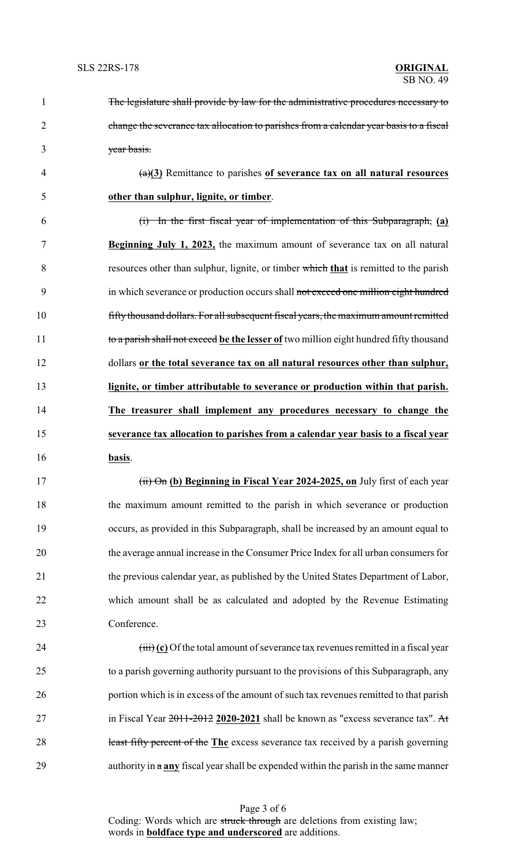| $\mathbf{1}$   | The legislature shall provide by law for the administrative procedures necessary to                 |
|----------------|-----------------------------------------------------------------------------------------------------|
| $\overline{2}$ | change the severance tax allocation to parishes from a calendar year basis to a fiscal              |
| 3              | year basis.                                                                                         |
| 4              | $\frac{a}{2}$ Remittance to parishes of severance tax on all natural resources                      |
| 5              | other than sulphur, lignite, or timber.                                                             |
| 6              | (i) In the first fiscal year of implementation of this Subparagraph, (a)                            |
| 7              | <b>Beginning July 1, 2023,</b> the maximum amount of severance tax on all natural                   |
| 8              | resources other than sulphur, lignite, or timber which that is remitted to the parish               |
| 9              | in which severance or production occurs shall not exceed one million eight hundred                  |
| 10             | fifty thousand dollars. For all subsequent fiscal years, the maximum amount remitted                |
| 11             | to a parish shall not exceed be the lesser of two million eight hundred fifty thousand              |
| 12             | dollars or the total severance tax on all natural resources other than sulphur,                     |
| 13             | lignite, or timber attributable to severance or production within that parish.                      |
| 14             | The treasurer shall implement any procedures necessary to change the                                |
| 15             | severance tax allocation to parishes from a calendar year basis to a fiscal year                    |
| 16             | basis.                                                                                              |
| 17             | (ii) On (b) Beginning in Fiscal Year 2024-2025, on July first of each year                          |
| 18             | the maximum amount remitted to the parish in which severance or production                          |
| 19             | occurs, as provided in this Subparagraph, shall be increased by an amount equal to                  |
| 20             | the average annual increase in the Consumer Price Index for all urban consumers for                 |
| 21             | the previous calendar year, as published by the United States Department of Labor,                  |
| 22             | which amount shall be as calculated and adopted by the Revenue Estimating                           |
| 23             | Conference.                                                                                         |
| 24             | $\overrightarrow{fiii}$ (c) Of the total amount of severance tax revenues remitted in a fiscal year |
| 25             | to a parish governing authority pursuant to the provisions of this Subparagraph, any                |
| 26             | portion which is in excess of the amount of such tax revenues remitted to that parish               |
| 27             | in Fiscal Year $2011-2012$ 2020-2021 shall be known as "excess severance tax". At                   |
| 28             | least fifty percent of the The excess severance tax received by a parish governing                  |
| 29             | authority in $a$ any fiscal year shall be expended within the parish in the same manner             |

Page 3 of 6 Coding: Words which are struck through are deletions from existing law; words in **boldface type and underscored** are additions.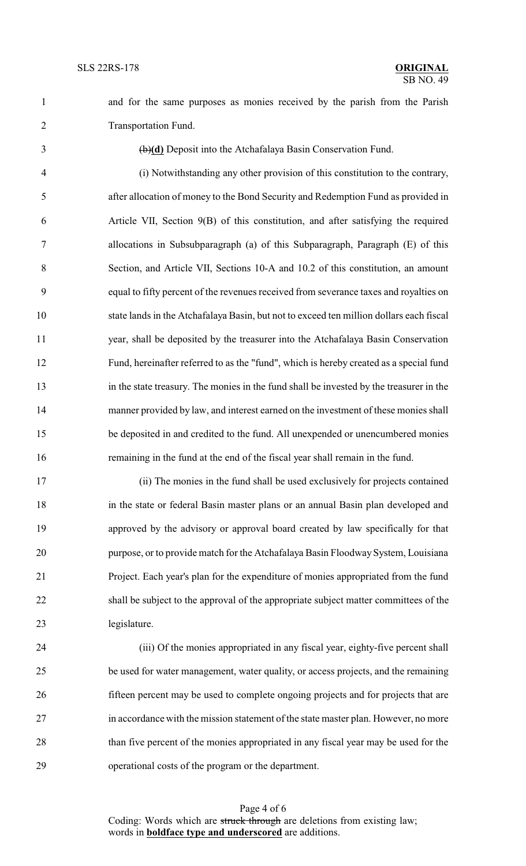Transportation Fund.

(b)**(d)** Deposit into the Atchafalaya Basin Conservation Fund.

and for the same purposes as monies received by the parish from the Parish

 (i) Notwithstanding any other provision of this constitution to the contrary, after allocation of money to the Bond Security and Redemption Fund as provided in Article VII, Section 9(B) of this constitution, and after satisfying the required allocations in Subsubparagraph (a) of this Subparagraph, Paragraph (E) of this Section, and Article VII, Sections 10-A and 10.2 of this constitution, an amount equal to fifty percent of the revenues received from severance taxes and royalties on state lands in the Atchafalaya Basin, but not to exceed ten million dollars each fiscal year, shall be deposited by the treasurer into the Atchafalaya Basin Conservation Fund, hereinafter referred to as the "fund", which is hereby created as a special fund in the state treasury. The monies in the fund shall be invested by the treasurer in the manner provided by law, and interest earned on the investment of these monies shall be deposited in and credited to the fund. All unexpended or unencumbered monies remaining in the fund at the end of the fiscal year shall remain in the fund.

 (ii) The monies in the fund shall be used exclusively for projects contained in the state or federal Basin master plans or an annual Basin plan developed and approved by the advisory or approval board created by law specifically for that 20 purpose, or to provide match for the Atchafalaya Basin Floodway System, Louisiana Project. Each year's plan for the expenditure of monies appropriated from the fund shall be subject to the approval of the appropriate subject matter committees of the legislature.

 (iii) Of the monies appropriated in any fiscal year, eighty-five percent shall be used for water management, water quality, or access projects, and the remaining fifteen percent may be used to complete ongoing projects and for projects that are in accordance with the mission statement of the state master plan. However, no more than five percent of the monies appropriated in any fiscal year may be used for the operational costs of the program or the department.

Page 4 of 6 Coding: Words which are struck through are deletions from existing law; words in **boldface type and underscored** are additions.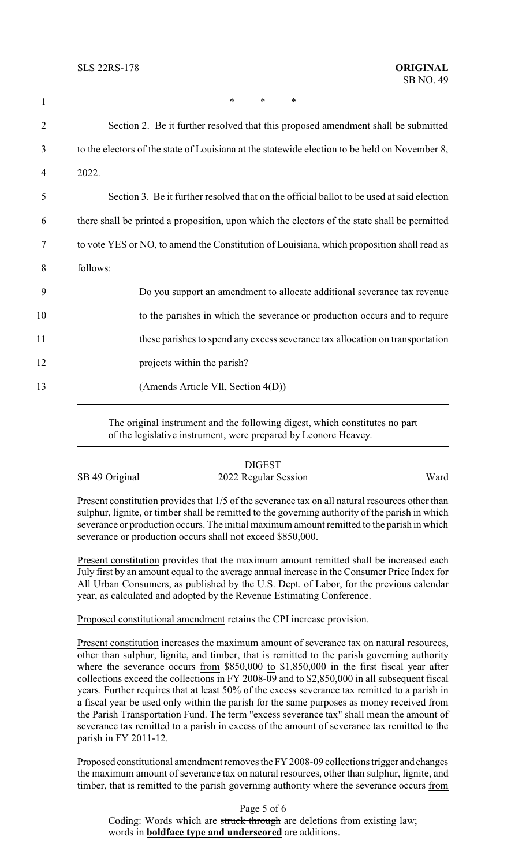| $\mathbf{1}$ | *<br>$\ast$<br>*                                                                              |
|--------------|-----------------------------------------------------------------------------------------------|
| 2            | Section 2. Be it further resolved that this proposed amendment shall be submitted             |
| 3            | to the electors of the state of Louisiana at the statewide election to be held on November 8, |
| 4            | 2022.                                                                                         |
| 5            | Section 3. Be it further resolved that on the official ballot to be used at said election     |
| 6            | there shall be printed a proposition, upon which the electors of the state shall be permitted |
| 7            | to vote YES or NO, to amend the Constitution of Louisiana, which proposition shall read as    |
| 8            | follows:                                                                                      |
| 9            | Do you support an amendment to allocate additional severance tax revenue                      |
| 10           | to the parishes in which the severance or production occurs and to require                    |
| 11           | these parishes to spend any excess severance tax allocation on transportation                 |
| 12           | projects within the parish?                                                                   |
| 13           | (Amends Article VII, Section 4(D))                                                            |
|              |                                                                                               |

The original instrument and the following digest, which constitutes no part of the legislative instrument, were prepared by Leonore Heavey.

|                | <b>DIGEST</b>        |      |
|----------------|----------------------|------|
| SB 49 Original | 2022 Regular Session | Ward |

Present constitution provides that 1/5 of the severance tax on all natural resources other than sulphur, lignite, or timber shall be remitted to the governing authority of the parish in which severance or production occurs. The initial maximum amount remitted to the parish in which severance or production occurs shall not exceed \$850,000.

Present constitution provides that the maximum amount remitted shall be increased each July first by an amount equal to the average annual increase in the Consumer Price Index for All Urban Consumers, as published by the U.S. Dept. of Labor, for the previous calendar year, as calculated and adopted by the Revenue Estimating Conference.

Proposed constitutional amendment retains the CPI increase provision.

Present constitution increases the maximum amount of severance tax on natural resources, other than sulphur, lignite, and timber, that is remitted to the parish governing authority where the severance occurs from \$850,000 to \$1,850,000 in the first fiscal year after collections exceed the collections in FY 2008-09 and to \$2,850,000 in all subsequent fiscal years. Further requires that at least 50% of the excess severance tax remitted to a parish in a fiscal year be used only within the parish for the same purposes as money received from the Parish Transportation Fund. The term "excess severance tax" shall mean the amount of severance tax remitted to a parish in excess of the amount of severance tax remitted to the parish in FY 2011-12.

Proposed constitutional amendment removes the FY 2008-09 collections trigger and changes the maximum amount of severance tax on natural resources, other than sulphur, lignite, and timber, that is remitted to the parish governing authority where the severance occurs from

Page 5 of 6 Coding: Words which are struck through are deletions from existing law; words in **boldface type and underscored** are additions.